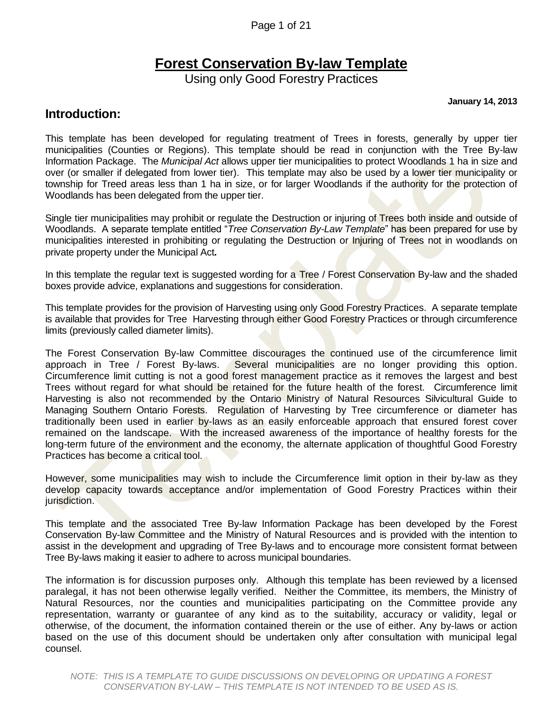Page 1 of 21

### **Forest Conservation By-law Template**

Using only Good Forestry Practices

**January 14, 2013**

### **Introduction:**

This template has been developed for regulating treatment of Trees in forests, generally by upper tier municipalities (Counties or Regions). This template should be read in conjunction with the Tree By-law Information Package. The *Municipal Act* allows upper tier municipalities to protect Woodlands 1 ha in size and over (or smaller if delegated from lower tier). This template may also be used by a lower tier municipality or township for Treed areas less than 1 ha in size, or for larger Woodlands if the authority for the protection of Woodlands has been delegated from the upper tier.

Single tier municipalities may prohibit or regulate the Destruction or injuring of Trees both inside and outside of Woodlands. A separate template entitled "*Tree Conservation By-Law Template*" has been prepared for use by municipalities interested in prohibiting or regulating the Destruction or Injuring of Trees not in woodlands on private property under the Municipal Act*.*

In this template the regular text is suggested wording for a Tree / Forest Conservation By-law and the shaded boxes provide advice, explanations and suggestions for consideration.

This template provides for the provision of Harvesting using only Good Forestry Practices. A separate template is available that provides for Tree Harvesting through either Good Forestry Practices or through circumference limits (previously called diameter limits).

The Forest Conservation By-law Committee discourages the continued use of the circumference limit approach in Tree / Forest By-laws. Several municipalities are no longer providing this option. Circumference limit cutting is not a good forest management practice as it removes the largest and best Trees without regard for what should be retained for the future health of the forest. Circumference limit Harvesting is also not recommended by the Ontario Ministry of Natural Resources Silvicultural Guide to Managing Southern Ontario Forests. Regulation of Harvesting by Tree circumference or diameter has traditionally been used in earlier by-laws as an easily enforceable approach that ensured forest cover remained on the landscape. With the increased awareness of the importance of healthy forests for the long-term future of the environment and the economy, the alternate application of thoughtful Good Forestry Practices has become a critical tool.

However, some municipalities may wish to include the Circumference limit option in their by-law as they develop capacity towards acceptance and/or implementation of Good Forestry Practices within their jurisdiction.

This template and the associated Tree By-law Information Package has been developed by the Forest Conservation By-law Committee and the Ministry of Natural Resources and is provided with the intention to assist in the development and upgrading of Tree By-laws and to encourage more consistent format between Tree By-laws making it easier to adhere to across municipal boundaries.

The information is for discussion purposes only. Although this template has been reviewed by a licensed paralegal, it has not been otherwise legally verified. Neither the Committee, its members, the Ministry of Natural Resources, nor the counties and municipalities participating on the Committee provide any representation, warranty or guarantee of any kind as to the suitability, accuracy or validity, legal or otherwise, of the document, the information contained therein or the use of either. Any by-laws or action based on the use of this document should be undertaken only after consultation with municipal legal counsel.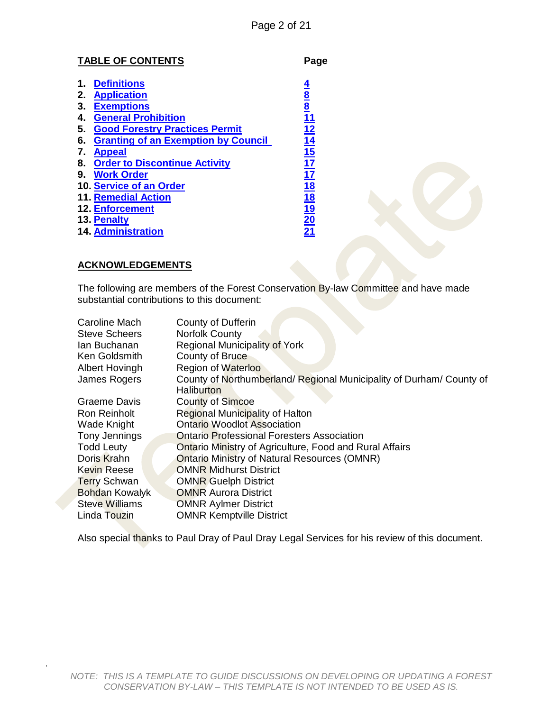#### **TABLE OF CONTENTS Page**

|    | <b>Definitions</b>                         |                                                                 |
|----|--------------------------------------------|-----------------------------------------------------------------|
| 2. | <b>Application</b>                         | $\frac{8}{8}$                                                   |
| З. | <b>Exemptions</b>                          |                                                                 |
| 4. | <b>General Prohibition</b>                 |                                                                 |
| 5. | <b>Good Forestry Practices Permit</b>      | 12                                                              |
| 6. | <b>Granting of an Exemption by Council</b> | 14                                                              |
| 7. | <b>Appeal</b>                              | $\frac{15}{17}$                                                 |
| 8. | <b>Order to Discontinue Activity</b>       |                                                                 |
| 9. | <b>Work Order</b>                          |                                                                 |
|    | 10. Service of an Order                    |                                                                 |
|    | <b>11. Remedial Action</b>                 |                                                                 |
|    | <b>12. Enforcement</b>                     | $\frac{17}{18}$ $\frac{18}{19}$ $\frac{19}{20}$ $\frac{20}{21}$ |
|    | 13. Penalty                                |                                                                 |
|    | <b>14. Administration</b>                  |                                                                 |

#### **ACKNOWLEDGEMENTS**

.

The following are members of the Forest Conservation By-law Committee and have made substantial contributions to this document:

| Caroline Mach<br>Steve Scheers | <b>County of Dufferin</b><br><b>Norfolk County</b>                 |  |  |  |  |  |
|--------------------------------|--------------------------------------------------------------------|--|--|--|--|--|
| lan Buchanan                   | Regional Municipality of York                                      |  |  |  |  |  |
| Ken Goldsmith                  | County of Bruce                                                    |  |  |  |  |  |
| <b>Albert Hovingh</b>          | <b>Region of Waterloo</b>                                          |  |  |  |  |  |
| James Rogers                   | County of Northumberland/Regional Municipality of Durham/County of |  |  |  |  |  |
|                                | Haliburton                                                         |  |  |  |  |  |
| Graeme Davis                   | <b>County of Simcoe</b>                                            |  |  |  |  |  |
| Ron Reinholt                   | Regional Municipality of Halton                                    |  |  |  |  |  |
| Wade Knight                    | <b>Ontario Woodlot Association</b>                                 |  |  |  |  |  |
| Tony Jennings                  | <b>Ontario Professional Foresters Association</b>                  |  |  |  |  |  |
| <b>Todd Leuty</b>              | <b>Ontario Ministry of Agriculture, Food and Rural Affairs</b>     |  |  |  |  |  |
| Doris Krahn                    | <b>Ontario Ministry of Natural Resources (OMNR)</b>                |  |  |  |  |  |
| <b>Kevin Reese</b>             | <b>OMNR Midhurst District</b>                                      |  |  |  |  |  |
| <b>Terry Schwan</b>            | <b>OMNR Guelph District</b>                                        |  |  |  |  |  |
| <b>Bohdan Kowalyk</b>          | <b>OMNR Aurora District</b>                                        |  |  |  |  |  |
| <b>Steve Williams</b>          | <b>OMNR Aylmer District</b>                                        |  |  |  |  |  |
| Linda Touzin                   | <b>OMNR Kemptville District</b>                                    |  |  |  |  |  |

Also special thanks to Paul Dray of Paul Dray Legal Services for his review of this document.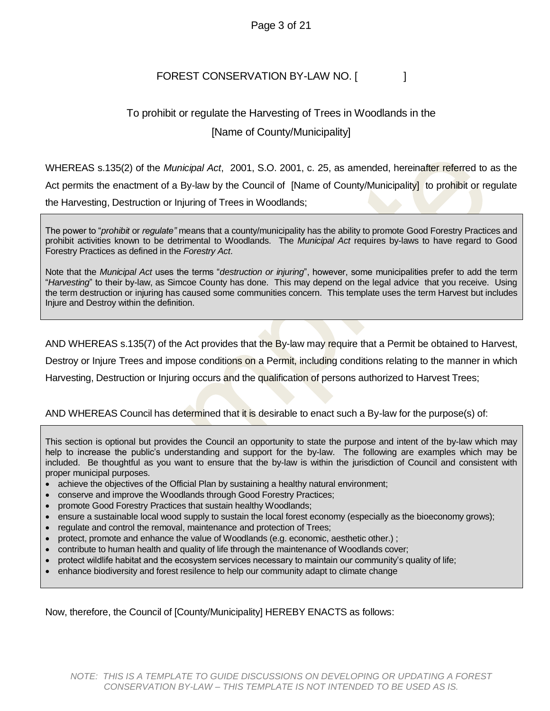### Page 3 of 21

### FOREST CONSERVATION BY-LAW NO. [

### To prohibit or regulate the Harvesting of Trees in Woodlands in the [Name of County/Municipality]

WHEREAS s.135(2) of the *Municipal Act*, 2001, S.O. 2001, c. 25, as amended, hereinafter referred to as the Act permits the enactment of a By-law by the Council of [Name of County/Municipality] to prohibit or regulate the Harvesting, Destruction or Injuring of Trees in Woodlands;

The power to "*prohibit* or *regulate"* means that a county/municipality has the ability to promote Good Forestry Practices and prohibit activities known to be detrimental to Woodlands. The *Municipal Act* requires by-laws to have regard to Good Forestry Practices as defined in the *Forestry Act*.

Note that the *Municipal Act* uses the terms "*destruction or injuring*", however, some municipalities prefer to add the term "*Harvesting*" to their by-law, as Simcoe County has done. This may depend on the legal advice that you receive. Using the term destruction or injuring has caused some communities concern. This template uses the term Harvest but includes Injure and Destroy within the definition.

AND WHEREAS s.135(7) of the Act provides that the By-law may require that a Permit be obtained to Harvest,

Destroy or Injure Trees and impose conditions on a Permit, including conditions relating to the manner in which

Harvesting, Destruction or Injuring occurs and the qualification of persons authorized to Harvest Trees;

#### AND WHEREAS Council has determined that it is desirable to enact such a By-law for the purpose(s) of:

This section is optional but provides the Council an opportunity to state the purpose and intent of the by-law which may help to increase the public's understanding and support for the by-law. The following are examples which may be included. Be thoughtful as you want to ensure that the by-law is within the jurisdiction of Council and consistent with proper municipal purposes.

- achieve the objectives of the Official Plan by sustaining a healthy natural environment;
- conserve and improve the Woodlands through Good Forestry Practices;
- promote Good Forestry Practices that sustain healthy Woodlands;
- ensure a sustainable local wood supply to sustain the local forest economy (especially as the bioeconomy grows);
- regulate and control the removal, maintenance and protection of Trees;
- protect, promote and enhance the value of Woodlands (e.g. economic, aesthetic other.) ;
- contribute to human health and quality of life through the maintenance of Woodlands cover;
- protect wildlife habitat and the ecosystem services necessary to maintain our community's quality of life;
- enhance biodiversity and forest resilence to help our community adapt to climate change

Now, therefore, the Council of [County/Municipality] HEREBY ENACTS as follows: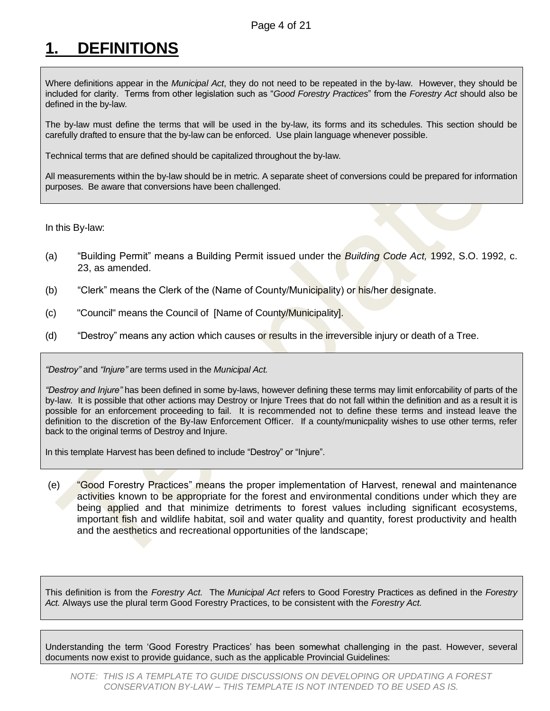# <span id="page-3-0"></span>**1. DEFINITIONS**

Where definitions appear in the *Municipal Act*, they do not need to be repeated in the by-law. However, they should be included for clarity. Terms from other legislation such as "*Good Forestry Practices*" from the *Forestry Act* should also be defined in the by-law.

The by-law must define the terms that will be used in the by-law, its forms and its schedules. This section should be carefully drafted to ensure that the by-law can be enforced. Use plain language whenever possible.

Technical terms that are defined should be capitalized throughout the by-law.

All measurements within the by-law should be in metric. A separate sheet of conversions could be prepared for information purposes. Be aware that conversions have been challenged.

In this By-law:

- (a) "Building Permit" means a Building Permit issued under the *Building Code Act,* 1992, S.O. 1992, c. 23, as amended.
- (b) "Clerk" means the Clerk of the (Name of County/Municipality) or his/her designate.
- (c) "Council" means the Council of [Name of County/Municipality].
- (d) "Destroy" means any action which causes or results in the irreversible injury or death of a Tree.

*"Destroy"* and *"Injure"* are terms used in the *Municipal Act.* 

*"Destroy and Injure"* has been defined in some by-laws, however defining these terms may limit enforcability of parts of the by-law. It is possible that other actions may Destroy or Injure Trees that do not fall within the definition and as a result it is possible for an enforcement proceeding to fail. It is recommended not to define these terms and instead leave the definition to the discretion of the By-law Enforcement Officer. If a county/municpality wishes to use other terms, refer back to the original terms of Destroy and Injure.

In this template Harvest has been defined to include "Destroy" or "Injure".

(e) "Good Forestry Practices" means the proper implementation of Harvest, renewal and maintenance activities known to be appropriate for the forest and environmental conditions under which they are being applied and that minimize detriments to forest values including significant ecosystems, important fish and wildlife habitat, soil and water quality and quantity, forest productivity and health and the aesthetics and recreational opportunities of the landscape;

This definition is from the *Forestry Act.* The *Municipal Act* refers to Good Forestry Practices as defined in the *Forestry Act.* Always use the plural term Good Forestry Practices, to be consistent with the *Forestry Act.*

Understanding the term 'Good Forestry Practices' has been somewhat challenging in the past. However, several documents now exist to provide guidance, such as the applicable Provincial Guidelines: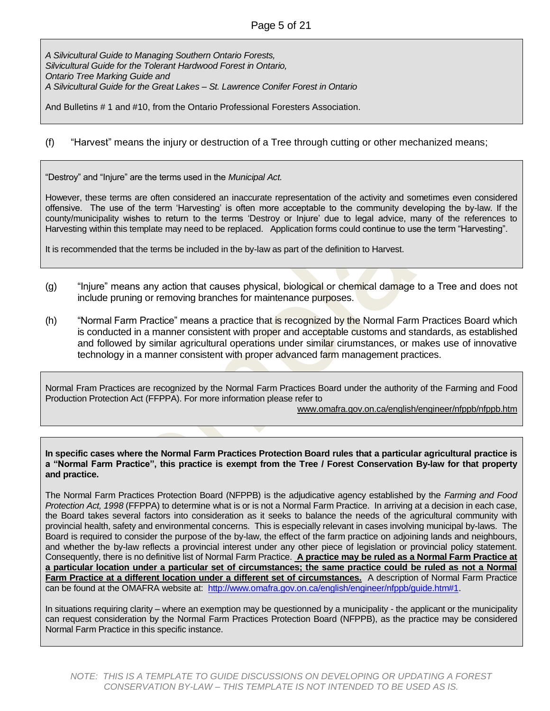#### Page 5 of 21

*A Silvicultural Guide to Managing Southern Ontario Forests, Silvicultural Guide for the Tolerant Hardwood Forest in Ontario, Ontario Tree Marking Guide and A Silvicultural Guide for the Great Lakes – St. Lawrence Conifer Forest in Ontario*

And Bulletins # 1 and #10, from the Ontario Professional Foresters Association.

(f) "Harvest" means the injury or destruction of a Tree through cutting or other mechanized means;

"Destroy" and "Injure" are the terms used in the *Municipal Act.* 

However, these terms are often considered an inaccurate representation of the activity and sometimes even considered offensive. The use of the term 'Harvesting' is often more acceptable to the community developing the by-law. If the county/municipality wishes to return to the terms 'Destroy or Injure' due to legal advice, many of the references to Harvesting within this template may need to be replaced. Application forms could continue to use the term "Harvesting".

It is recommended that the terms be included in the by-law as part of the definition to Harvest.

- (g) "Injure" means any action that causes physical, biological or chemical damage to a Tree and does not include pruning or removing branches for maintenance purposes.
- (h) "Normal Farm Practice" means a practice that is recognized by the Normal Farm Practices Board which is conducted in a manner consistent with proper and acceptable customs and standards, as established and followed by similar agricultural operations under similar cirumstances, or makes use of innovative technology in a manner consistent with proper advanced farm management practices.

Normal Fram Practices are recognized by the Normal Farm Practices Board under the authority of the Farming and Food Production Protection Act (FFPPA). For more information please refer to

[www.omafra.gov.on.ca/english/engineer/nfppb/nfppb.htm](http://www.omafra.gov.on.ca/english/engineer/nfppb/nfppb.htm)

**In specific cases where the Normal Farm Practices Protection Board rules that a particular agricultural practice is a "Normal Farm Practice", this practice is exempt from the Tree / Forest Conservation By-law for that property and practice.**

The Normal Farm Practices Protection Board (NFPPB) is the adjudicative agency established by the *Farming and Food Protection Act, 1998* (FFPPA) to determine what is or is not a Normal Farm Practice. In arriving at a decision in each case, the Board takes several factors into consideration as it seeks to balance the needs of the agricultural community with provincial health, safety and environmental concerns. This is especially relevant in cases involving municipal by-laws. The Board is required to consider the purpose of the by-law, the effect of the farm practice on adjoining lands and neighbours, and whether the by-law reflects a provincial interest under any other piece of legislation or provincial policy statement. Consequently, there is no definitive list of Normal Farm Practice. **A practice may be ruled as a Normal Farm Practice at a particular location under a particular set of circumstances; the same practice could be ruled as not a Normal Farm Practice at a different location under a different set of circumstances.** A description of Normal Farm Practice can be found at the OMAFRA website at: [http://www.omafra.gov.on.ca/english/engineer/nfppb/guide.htm#1.](http://www.omafra.gov.on.ca/english/engineer/nfppb/guide.htm#1)

In situations requiring clarity – where an exemption may be questionned by a municipality - the applicant or the municipality can request consideration by the Normal Farm Practices Protection Board (NFPPB), as the practice may be considered Normal Farm Practice in this specific instance.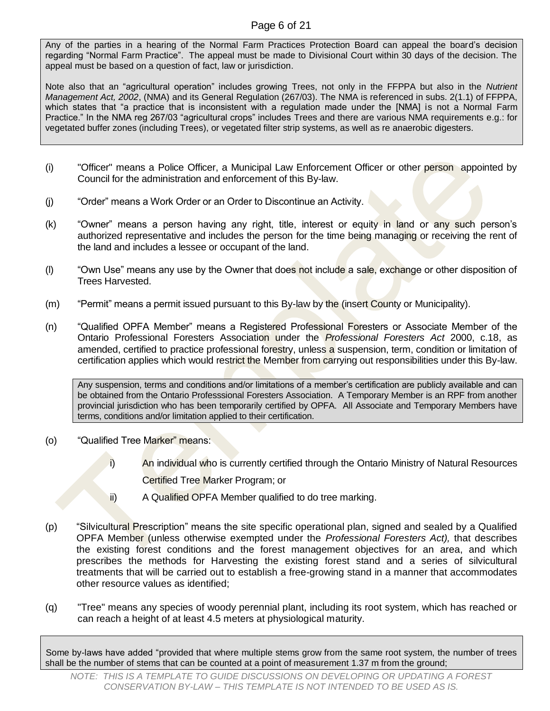### Page 6 of 21

Any of the parties in a hearing of the Normal Farm Practices Protection Board can appeal the board's decision regarding "Normal Farm Practice". The appeal must be made to Divisional Court within 30 days of the decision. The appeal must be based on a question of fact, law or jurisdiction.

Note also that an "agricultural operation" includes growing Trees, not only in the FFPPA but also in the *Nutrient Management Act, 2002*, (NMA) and its General Regulation (267/03). The NMA is referenced in subs. 2(1.1) of FFPPA, which states that "a practice that is inconsistent with a regulation made under the [NMA] is not a Normal Farm Practice." In the NMA reg 267/03 "agricultural crops" includes Trees and there are various NMA requirements e.g.: for vegetated buffer zones (including Trees), or vegetated filter strip systems, as well as re anaerobic digesters.

- (i) "Officer" means a Police Officer, a Municipal Law Enforcement Officer or other person appointed by Council for the administration and enforcement of this By-law.
- (j) "Order" means a Work Order or an Order to Discontinue an Activity.
- (k) "Owner" means a person having any right, title, interest or equity in land or any such person's authorized representative and includes the person for the time being managing or receiving the rent of the land and includes a lessee or occupant of the land.
- (l) "Own Use" means any use by the Owner that does not include a sale, exchange or other disposition of Trees Harvested.
- (m) "Permit" means a permit issued pursuant to this By-law by the (insert County or Municipality).
- (n) "Qualified OPFA Member" means a Registered Professional Foresters or Associate Member of the Ontario Professional Foresters Association under the *Professional Foresters Act* 2000, c.18, as amended, certified to practice professional forestry, unless a suspension, term, condition or limitation of certification applies which would restrict the Member from carrying out responsibilities under this By-law.

Any suspension, terms and conditions and/or limitations of a member's certification are publicly available and can be obtained from the Ontario Professsional Foresters Association. A Temporary Member is an RPF from another provincial jurisdiction who has been temporarily certified by OPFA. All Associate and Temporary Members have terms, conditions and/or limitation applied to their certification.

- (o) "Qualified Tree Marker" means:
	- i) An individual who is currently certified through the Ontario Ministry of Natural Resources Certified Tree Marker Program; or
	- ii) A Qualified OPFA Member qualified to do tree marking.
- (p) "Silvicultural Prescription" means the site specific operational plan, signed and sealed by a Qualified OPFA Member (unless otherwise exempted under the *Professional Foresters Act),* that describes the existing forest conditions and the forest management objectives for an area, and which prescribes the methods for Harvesting the existing forest stand and a series of silvicultural treatments that will be carried out to establish a free-growing stand in a manner that accommodates other resource values as identified;
- (q) "Tree" means any species of woody perennial plant, including its root system, which has reached or can reach a height of at least 4.5 meters at physiological maturity.

Some by-laws have added "provided that where multiple stems grow from the same root system, the number of trees shall be the number of stems that can be counted at a point of measurement 1.37 m from the ground;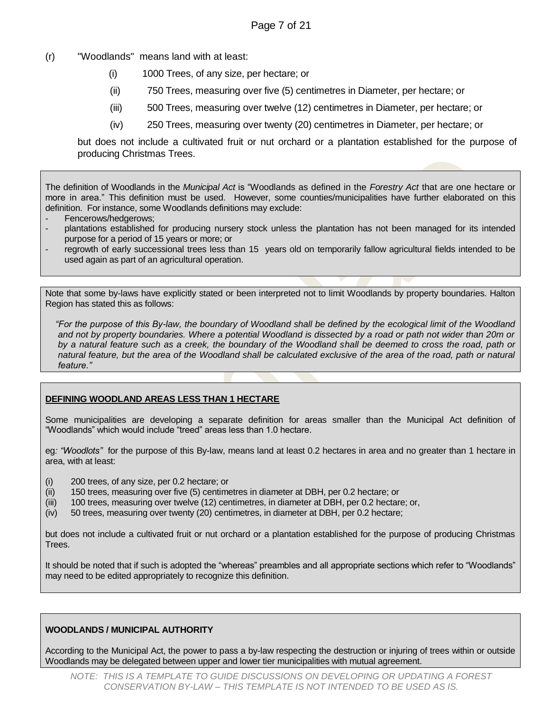- (r) "Woodlands" means land with at least:
	- (i) 1000 Trees, of any size, per hectare; or
	- (ii) 750 Trees, measuring over five (5) centimetres in Diameter, per hectare; or
	- (iii) 500 Trees, measuring over twelve (12) centimetres in Diameter, per hectare; or
	- (iv) 250 Trees, measuring over twenty (20) centimetres in Diameter, per hectare; or

but does not include a cultivated fruit or nut orchard or a plantation established for the purpose of producing Christmas Trees.

The definition of Woodlands in the *Municipal Act* is "Woodlands as defined in the *Forestry Act* that are one hectare or more in area." This definition must be used. However, some counties/municipalities have further elaborated on this definition. For instance, some Woodlands definitions may exclude:

- Fencerows/hedgerows;
- plantations established for producing nursery stock unless the plantation has not been managed for its intended purpose for a period of 15 years or more; or
- regrowth of early successional trees less than 15 years old on temporarily fallow agricultural fields intended to be used again as part of an agricultural operation.

Note that some by-laws have explicitly stated or been interpreted not to limit Woodlands by property boundaries. Halton Region has stated this as follows:

 *"For the purpose of this By-law, the boundary of Woodland shall be defined by the ecological limit of the Woodland*  and not by property boundaries. Where a potential Woodland is dissected by a road or path not wider than 20m or *by a natural feature such as a creek, the boundary of the Woodland shall be deemed to cross the road, path or natural feature, but the area of the Woodland shall be calculated exclusive of the area of the road, path or natural feature."*

#### **DEFINING WOODLAND AREAS LESS THAN 1 HECTARE**

Some municipalities are developing a separate definition for areas smaller than the Municipal Act definition of "Woodlands" which would include "treed" areas less than 1.0 hectare.

eg*: "Woodlots"* for the purpose of this By-law, means land at least 0.2 hectares in area and no greater than 1 hectare in area, with at least:

- (i) 200 trees, of any size, per 0.2 hectare; or
- (ii) 150 trees, measuring over five (5) centimetres in diameter at DBH, per 0.2 hectare; or
- (iii) 100 trees, measuring over twelve (12) centimetres, in diameter at DBH, per 0.2 hectare; or,
- (iv) 50 trees, measuring over twenty (20) centimetres, in diameter at DBH, per 0.2 hectare;

but does not include a cultivated fruit or nut orchard or a plantation established for the purpose of producing Christmas Trees.

It should be noted that if such is adopted the "whereas" preambles and all appropriate sections which refer to "Woodlands" may need to be edited appropriately to recognize this definition.

#### **WOODLANDS / MUNICIPAL AUTHORITY**

According to the Municipal Act, the power to pass a by-law respecting the destruction or injuring of trees within or outside Woodlands may be delegated between upper and lower tier municipalities with mutual agreement.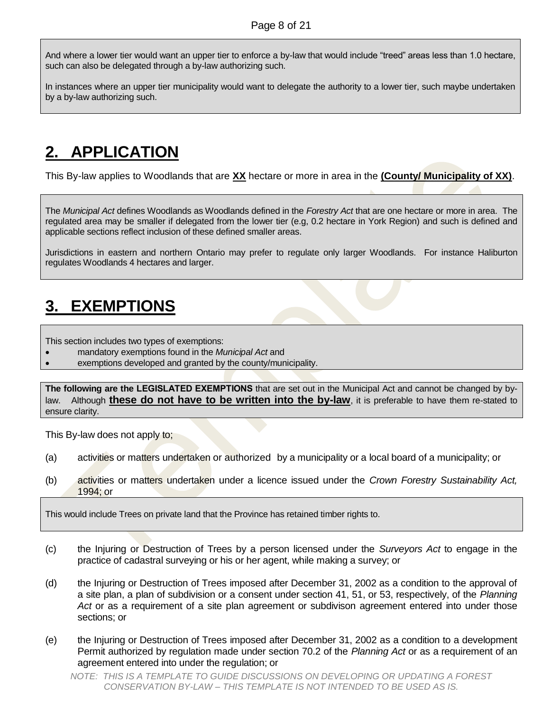And where a lower tier would want an upper tier to enforce a by-law that would include "treed" areas less than 1.0 hectare, such can also be delegated through a by-law authorizing such.

In instances where an upper tier municipality would want to delegate the authority to a lower tier, such maybe undertaken by a by-law authorizing such.

# <span id="page-7-0"></span>**2. APPLICATION**

This By-law applies to Woodlands that are **XX** hectare or more in area in the **(County/ Municipality of XX)**.

The *Municipal Act* defines Woodlands as Woodlands defined in the *Forestry Act* that are one hectare or more in area. The regulated area may be smaller if delegated from the lower tier (e.g, 0.2 hectare in York Region) and such is defined and applicable sections reflect inclusion of these defined smaller areas.

Jurisdictions in eastern and northern Ontario may prefer to regulate only larger Woodlands. For instance Haliburton regulates Woodlands 4 hectares and larger.

# <span id="page-7-1"></span>**3. EXEMPTIONS**

This section includes two types of exemptions:

- mandatory exemptions found in the *Municipal Act* and
- exemptions developed and granted by the county/municipality.

**The following are the LEGISLATED EXEMPTIONS** that are set out in the Municipal Act and cannot be changed by bylaw. Although **these do not have to be written into the by-law**, it is preferable to have them re-stated to ensure clarity.

This By-law does not apply to;

- (a) activities or matters undertaken or authorized by a municipality or a local board of a municipality; or
- (b) activities or matters undertaken under a licence issued under the *Crown Forestry Sustainability Act,* 1994; or

This would include Trees on private land that the Province has retained timber rights to.

- (c) the Injuring or Destruction of Trees by a person licensed under the *Surveyors Act* to engage in the practice of cadastral surveying or his or her agent, while making a survey; or
- (d) the Injuring or Destruction of Trees imposed after December 31, 2002 as a condition to the approval of a site plan, a plan of subdivision or a consent under section 41, 51, or 53, respectively, of the *Planning Act* or as a requirement of a site plan agreement or subdivison agreement entered into under those sections; or
- (e) the Injuring or Destruction of Trees imposed after December 31, 2002 as a condition to a development Permit authorized by regulation made under section 70.2 of the *Planning Act* or as a requirement of an agreement entered into under the regulation; or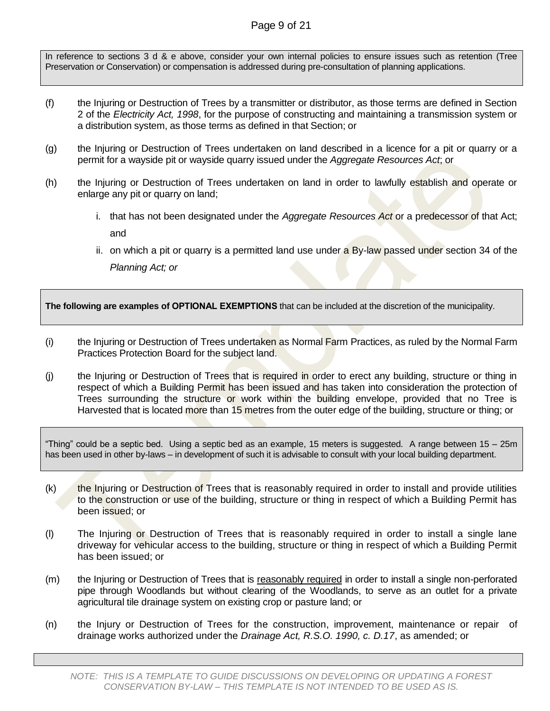### Page 9 of 21

In reference to sections 3 d & e above, consider your own internal policies to ensure issues such as retention (Tree Preservation or Conservation) or compensation is addressed during pre-consultation of planning applications.

- (f) the Injuring or Destruction of Trees by a transmitter or distributor, as those terms are defined in Section 2 of the *Electricity Act, 1998*, for the purpose of constructing and maintaining a transmission system or a distribution system, as those terms as defined in that Section; or
- (g) the Injuring or Destruction of Trees undertaken on land described in a licence for a pit or quarry or a permit for a wayside pit or wayside quarry issued under the *Aggregate Resources Act*; or
- (h) the Injuring or Destruction of Trees undertaken on land in order to lawfully establish and operate or enlarge any pit or quarry on land;
	- i. that has not been designated under the *Aggregate Resources Act* or a predecessor of that Act; and
	- ii. on which a pit or quarry is a permitted land use under a By-law passed under section 34 of the *Planning Act; or*

**The following are examples of OPTIONAL EXEMPTIONS** that can be included at the discretion of the municipality.

- (i) the Injuring or Destruction of Trees undertaken as Normal Farm Practices, as ruled by the Normal Farm Practices Protection Board for the subject land.
- (i) the Injuring or Destruction of Trees that is required in order to erect any building, structure or thing in respect of which a Building Permit has been issued and has taken into consideration the protection of Trees surrounding the structure or work within the building envelope, provided that no Tree is Harvested that is located more than 15 metres from the outer edge of the building, structure or thing; or

"Thing" could be a septic bed. Using a septic bed as an example, 15 meters is suggested. A range between 15 – 25m has been used in other by-laws – in development of such it is advisable to consult with your local building department.

- $(k)$  the Injuring or Destruction of Trees that is reasonably required in order to install and provide utilities to the construction or use of the building, structure or thing in respect of which a Building Permit has been issued; or
- (l) The Injuring or Destruction of Trees that is reasonably required in order to install a single lane driveway for vehicular access to the building, structure or thing in respect of which a Building Permit has been issued; or
- (m) the Injuring or Destruction of Trees that is reasonably required in order to install a single non-perforated pipe through Woodlands but without clearing of the Woodlands, to serve as an outlet for a private agricultural tile drainage system on existing crop or pasture land; or
- (n) the Injury or Destruction of Trees for the construction, improvement, maintenance or repair of drainage works authorized under the *Drainage Act, R.S.O. 1990, c. D.17*, as amended; or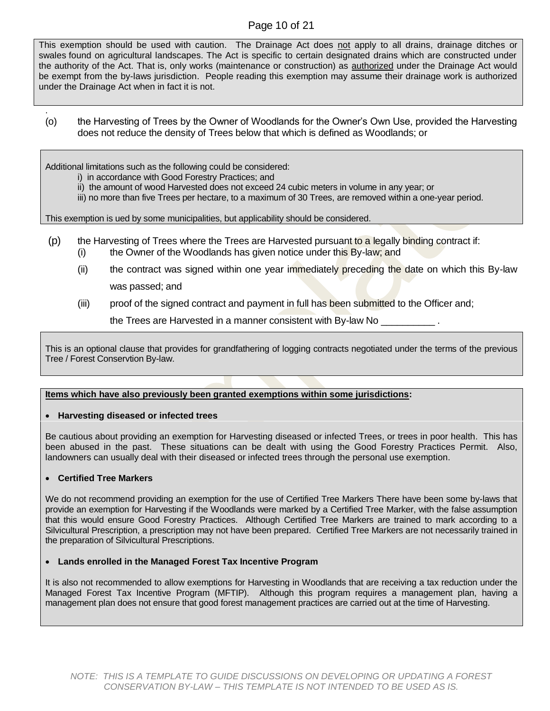### Page 10 of 21

This exemption should be used with caution. The Drainage Act does not apply to all drains, drainage ditches or swales found on agricultural landscapes. The Act is specific to certain designated drains which are constructed under the authority of the Act. That is, only works (maintenance or construction) as authorized under the Drainage Act would be exempt from the by-laws jurisdiction. People reading this exemption may assume their drainage work is authorized under the Drainage Act when in fact it is not.

. (o) the Harvesting of Trees by the Owner of Woodlands for the Owner's Own Use, provided the Harvesting does not reduce the density of Trees below that which is defined as Woodlands; or

Additional limitations such as the following could be considered:

- i) in accordance with Good Forestry Practices; and
- ii) the amount of wood Harvested does not exceed 24 cubic meters in volume in any year; or
- iii) no more than five Trees per hectare, to a maximum of 30 Trees, are removed within a one-year period.

This exemption is ued by some municipalities, but applicability should be considered.

- (p) the Harvesting of Trees where the Trees are Harvested pursuant to a legally binding contract if: (i) the Owner of the Woodlands has given notice under this By-law; and
	- (ii) the contract was signed within one year immediately preceding the date on which this By-law was passed; and
	- (iii) proof of the signed contract and payment in full has been submitted to the Officer and;

the Trees are Harvested in a manner consistent with By-law No \_\_\_\_\_\_\_\_\_\_\_\_\_\_\_\_\_\_

This is an optional clause that provides for grandfathering of logging contracts negotiated under the terms of the previous Tree / Forest Conservtion By-law.

#### **Items which have also previously been granted exemptions within some jurisdictions:**

#### **Harvesting diseased or infected trees**

Be cautious about providing an exemption for Harvesting diseased or infected Trees, or trees in poor health. This has been abused in the past. These situations can be dealt with using the Good Forestry Practices Permit. Also, landowners can usually deal with their diseased or infected trees through the personal use exemption.

#### **Certified Tree Markers**

We do not recommend providing an exemption for the use of Certified Tree Markers There have been some by-laws that provide an exemption for Harvesting if the Woodlands were marked by a Certified Tree Marker, with the false assumption that this would ensure Good Forestry Practices. Although Certified Tree Markers are trained to mark according to a Silvicultural Prescription, a prescription may not have been prepared. Certified Tree Markers are not necessarily trained in the preparation of Silvicultural Prescriptions.

#### **Lands enrolled in the Managed Forest Tax Incentive Program**

It is also not recommended to allow exemptions for Harvesting in Woodlands that are receiving a tax reduction under the Managed Forest Tax Incentive Program (MFTIP). Although this program requires a management plan, having a management plan does not ensure that good forest management practices are carried out at the time of Harvesting.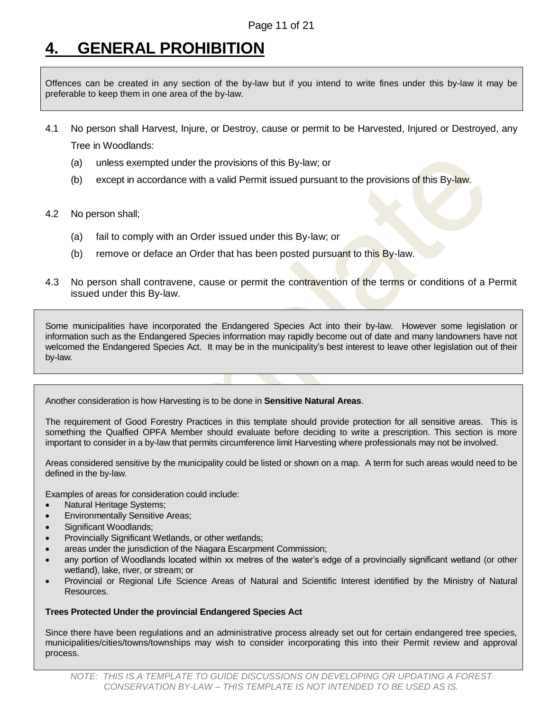# <span id="page-10-0"></span>**4. GENERAL PROHIBITION**

Offences can be created in any section of the by-law but if you intend to write fines under this by-law it may be preferable to keep them in one area of the by-law.

- 4.1 No person shall Harvest, Injure, or Destroy, cause or permit to be Harvested, Injured or Destroyed, any Tree in Woodlands:
	- (a) unless exempted under the provisions of this By-law; or
	- (b) except in accordance with a valid Permit issued pursuant to the provisions of this By-law.
- 4.2 No person shall;
	- (a) fail to comply with an Order issued under this By-law; or
	- (b) remove or deface an Order that has been posted pursuant to this By-law.
- 4.3 No person shall contravene, cause or permit the contravention of the terms or conditions of a Permit issued under this By-law.

Some municipalities have incorporated the Endangered Species Act into their by-law. However some legislation or information such as the Endangered Species information may rapidly become out of date and many landowners have not welcomed the Endangered Species Act. It may be in the municipality's best interest to leave other legislation out of their by-law.

Another consideration is how Harvesting is to be done in **Sensitive Natural Areas**.

The requirement of Good Forestry Practices in this template should provide protection for all sensitive areas. This is something the Qualfied OPFA Member should evaluate before deciding to write a prescription. This section is more important to consider in a by-law that permits circumference limit Harvesting where professionals may not be involved.

Areas considered sensitive by the municipality could be listed or shown on a map. A term for such areas would need to be defined in the by-law.

Examples of areas for consideration could include:

- Natural Heritage Systems;
- Environmentally Sensitive Areas;
- Significant Woodlands;
- Provincially Significant Wetlands, or other wetlands;
- areas under the jurisdiction of the Niagara Escarpment Commission;
- any portion of Woodlands located within xx metres of the water's edge of a provincially significant wetland (or other wetland), lake, river, or stream; or
- Provincial or Regional Life Science Areas of Natural and Scientific Interest identified by the Ministry of Natural Resources.

#### **Trees Protected Under the provincial Endangered Species Act**

Since there have been regulations and an administrative process already set out for certain endangered tree species, municipalities/cities/towns/townships may wish to consider incorporating this into their Permit review and approval process.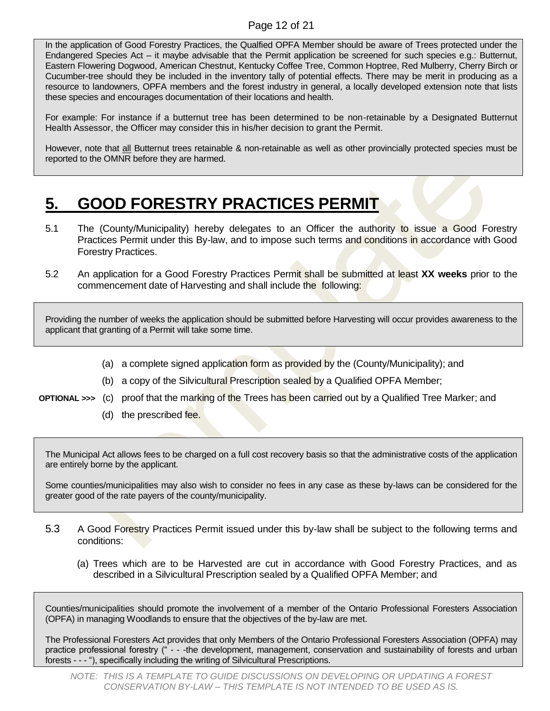#### Page 12 of 21

In the application of Good Forestry Practices, the Qualfied OPFA Member should be aware of Trees protected under the Endangered Species Act – it maybe advisable that the Permit application be screened for such species e.g.: Butternut, Eastern Flowering Dogwood, American Chestnut, Kentucky Coffee Tree, Common Hoptree, Red Mulberry, Cherry Birch or Cucumber-tree should they be included in the inventory tally of potential effects. There may be merit in producing as a resource to landowners, OPFA members and the forest industry in general, a locally developed extension note that lists these species and encourages documentation of their locations and health.

For example: For instance if a butternut tree has been determined to be non-retainable by a Designated Butternut Health Assessor, the Officer may consider this in his/her decision to grant the Permit.

However, note that all Butternut trees retainable & non-retainable as well as other provincially protected species must be reported to the OMNR before they are harmed.

# <span id="page-11-0"></span>**5. GOOD FORESTRY PRACTICES PERMIT**

- 5.1 The (County/Municipality) hereby delegates to an Officer the authority to issue a Good Forestry Practices Permit under this By-law, and to impose such terms and conditions in accordance with Good Forestry Practices.
- 5.2 An application for a Good Forestry Practices Permit shall be submitted at least **XX weeks** prior to the commencement date of Harvesting and shall include the following:

Providing the number of weeks the application should be submitted before Harvesting will occur provides awareness to the applicant that granting of a Permit will take some time.

- (a) a complete signed application form as provided by the (County/Municipality); and
- (b) a copy of the Silvicultural Prescription sealed by a Qualified OPFA Member;
- **OPTIONAL >>>** (c) proof that the marking of the Trees has been carried out by a Qualified Tree Marker; and
	- (d) the prescribed fee.

The Municipal Act allows fees to be charged on a full cost recovery basis so that the administrative costs of the application are entirely borne by the applicant.

Some counties/municipalities may also wish to consider no fees in any case as these by-laws can be considered for the greater good of the rate payers of the county/municipality.

- 5.3 A Good Forestry Practices Permit issued under this by-law shall be subject to the following terms and conditions:
	- (a) Trees which are to be Harvested are cut in accordance with Good Forestry Practices, and as described in a Silvicultural Prescription sealed by a Qualified OPFA Member; and

Counties/municipalities should promote the involvement of a member of the Ontario Professional Foresters Association (OPFA) in managing Woodlands to ensure that the objectives of the by-law are met.

The Professional Foresters Act provides that only Members of the Ontario Professional Foresters Association (OPFA) may practice professional forestry (" - - -the development, management, conservation and sustainability of forests and urban forests - - - "), specifically including the writing of Silvicultural Prescriptions.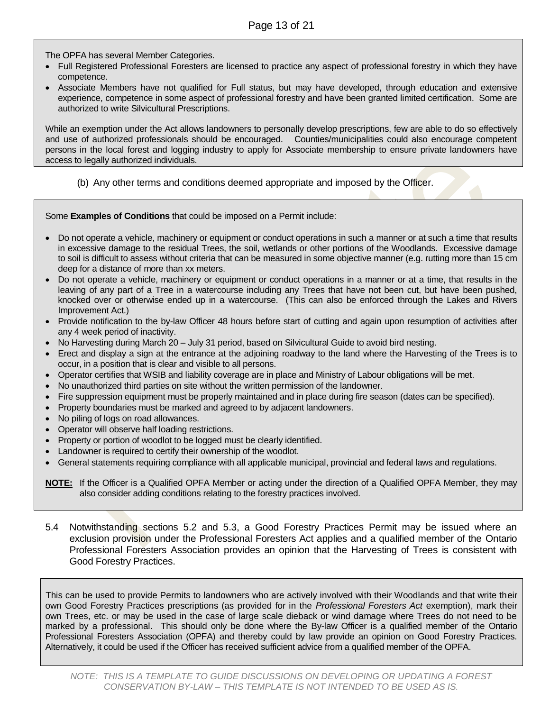The OPFA has several Member Categories.

- Full Registered Professional Foresters are licensed to practice any aspect of professional forestry in which they have competence.
- Associate Members have not qualified for Full status, but may have developed, through education and extensive experience, competence in some aspect of professional forestry and have been granted limited certification. Some are authorized to write Silvicultural Prescriptions.

While an exemption under the Act allows landowners to personally develop prescriptions, few are able to do so effectively and use of authorized professionals should be encouraged. Counties/municipalities could also encourage competent persons in the local forest and logging industry to apply for Associate membership to ensure private landowners have access to legally authorized individuals.

(b) Any other terms and conditions deemed appropriate and imposed by the Officer.

Some **Examples of Conditions** that could be imposed on a Permit include:

- Do not operate a vehicle, machinery or equipment or conduct operations in such a manner or at such a time that results in excessive damage to the residual Trees, the soil, wetlands or other portions of the Woodlands. Excessive damage to soil is difficult to assess without criteria that can be measured in some objective manner (e.g. rutting more than 15 cm deep for a distance of more than xx meters.
- Do not operate a vehicle, machinery or equipment or conduct operations in a manner or at a time, that results in the leaving of any part of a Tree in a watercourse including any Trees that have not been cut, but have been pushed, knocked over or otherwise ended up in a watercourse. (This can also be enforced through the Lakes and Rivers Improvement Act.)
- Provide notification to the by-law Officer 48 hours before start of cutting and again upon resumption of activities after any 4 week period of inactivity.
- No Harvesting during March 20 July 31 period, based on Silvicultural Guide to avoid bird nesting.
- Erect and display a sign at the entrance at the adjoining roadway to the land where the Harvesting of the Trees is to occur, in a position that is clear and visible to all persons.
- Operator certifies that WSIB and liability coverage are in place and Ministry of Labour obligations will be met.
- No unauthorized third parties on site without the written permission of the landowner.
- Fire suppression equipment must be properly maintained and in place during fire season (dates can be specified).
- Property boundaries must be marked and agreed to by adjacent landowners.
- No piling of logs on road allowances.
- Operator will observe half loading restrictions.
- Property or portion of woodlot to be logged must be clearly identified.
- Landowner is required to certify their ownership of the woodlot.
- General statements requiring compliance with all applicable municipal, provincial and federal laws and regulations.

**NOTE:** If the Officer is a Qualified OPFA Member or acting under the direction of a Qualified OPFA Member, they may also consider adding conditions relating to the forestry practices involved.

5.4 Notwithstanding sections 5.2 and 5.3, a Good Forestry Practices Permit may be issued where an exclusion provision under the Professional Foresters Act applies and a qualified member of the Ontario Professional Foresters Association provides an opinion that the Harvesting of Trees is consistent with Good Forestry Practices.

This can be used to provide Permits to landowners who are actively involved with their Woodlands and that write their own Good Forestry Practices prescriptions (as provided for in the *Professional Foresters Act* exemption), mark their own Trees, etc. or may be used in the case of large scale dieback or wind damage where Trees do not need to be marked by a professional. This should only be done where the By-law Officer is a qualified member of the Ontario Professional Foresters Association (OPFA) and thereby could by law provide an opinion on Good Forestry Practices. Alternatively, it could be used if the Officer has received sufficient advice from a qualified member of the OPFA.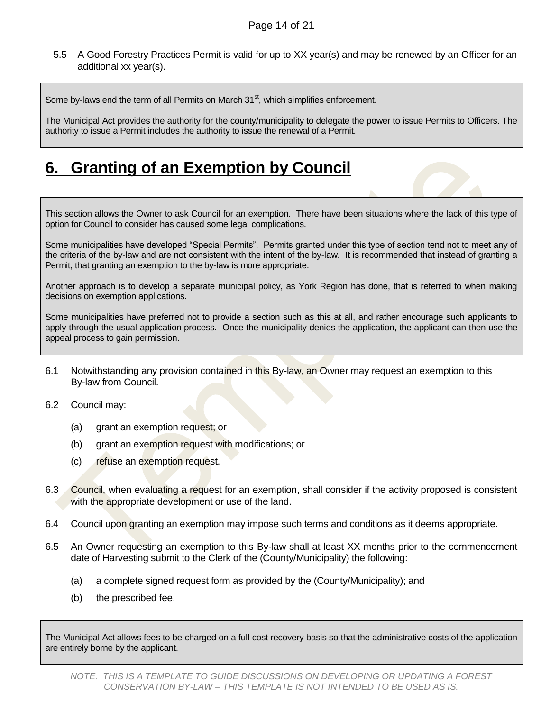5.5 A Good Forestry Practices Permit is valid for up to XX year(s) and may be renewed by an Officer for an additional xx year(s).

Some by-laws end the term of all Permits on March  $31<sup>st</sup>$ , which simplifies enforcement.

The Municipal Act provides the authority for the county/municipality to delegate the power to issue Permits to Officers. The authority to issue a Permit includes the authority to issue the renewal of a Permit.

# <span id="page-13-0"></span>**6. Granting of an Exemption by Council**

This section allows the Owner to ask Council for an exemption. There have been situations where the lack of this type of option for Council to consider has caused some legal complications.

Some municipalities have developed "Special Permits". Permits granted under this type of section tend not to meet any of the criteria of the by-law and are not consistent with the intent of the by-law. It is recommended that instead of granting a Permit, that granting an exemption to the by-law is more appropriate.

Another approach is to develop a separate municipal policy, as York Region has done, that is referred to when making decisions on exemption applications.

Some municipalities have preferred not to provide a section such as this at all, and rather encourage such applicants to apply through the usual application process. Once the municipality denies the application, the applicant can then use the appeal process to gain permission.

- 6.1 Notwithstanding any provision contained in this By-law, an Owner may request an exemption to this By-law from Council.
- 6.2 Council may:
	- (a) grant an exemption request; or
	- (b) grant an exemption request with modifications; or
	- (c) refuse an exemption request.
- 6.3 Council, when evaluating a request for an exemption, shall consider if the activity proposed is consistent with the appropriate development or use of the land.
- 6.4 Council upon granting an exemption may impose such terms and conditions as it deems appropriate.
- 6.5 An Owner requesting an exemption to this By-law shall at least XX months prior to the commencement date of Harvesting submit to the Clerk of the (County/Municipality) the following:
	- (a) a complete signed request form as provided by the (County/Municipality); and
	- (b) the prescribed fee.

The Municipal Act allows fees to be charged on a full cost recovery basis so that the administrative costs of the application are entirely borne by the applicant.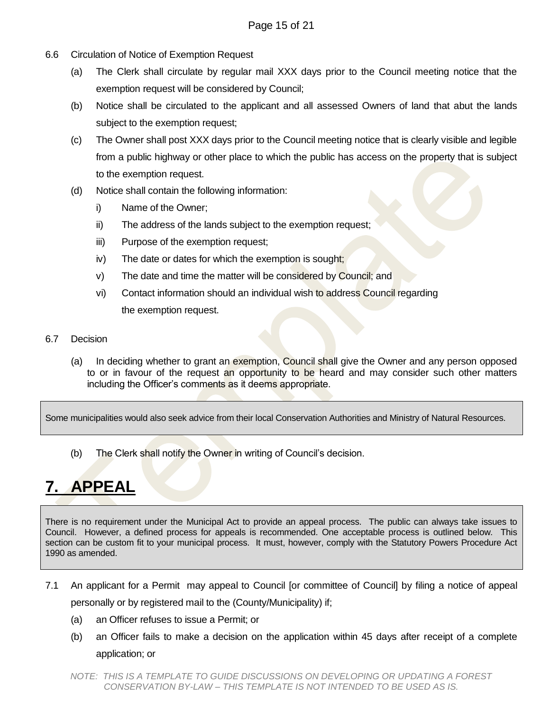- 6.6 Circulation of Notice of Exemption Request
	- (a) The Clerk shall circulate by regular mail XXX days prior to the Council meeting notice that the exemption request will be considered by Council;
	- (b) Notice shall be circulated to the applicant and all assessed Owners of land that abut the lands subject to the exemption request;
	- (c) The Owner shall post XXX days prior to the Council meeting notice that is clearly visible and legible from a public highway or other place to which the public has access on the property that is subject to the exemption request.
	- (d) Notice shall contain the following information:
		- i) Name of the Owner;
		- ii) The address of the lands subject to the exemption request;
		- iii) Purpose of the exemption request;
		- iv) The date or dates for which the exemption is sought;
		- v) The date and time the matter will be considered by Council; and
		- vi) Contact information should an individual wish to address Council regarding the exemption request.
- 6.7 Decision
	- (a) In deciding whether to grant an exemption, Council shall give the Owner and any person opposed to or in favour of the request an opportunity to be heard and may consider such other matters including the Officer's comments as it deems appropriate.

Some municipalities would also seek advice from their local Conservation Authorities and Ministry of Natural Resources.

(b) The Clerk shall notify the Owner in writing of Council's decision.

# <span id="page-14-0"></span>**7. APPEAL**

There is no requirement under the Municipal Act to provide an appeal process. The public can always take issues to Council. However, a defined process for appeals is recommended. One acceptable process is outlined below. This section can be custom fit to your municipal process. It must, however, comply with the Statutory Powers Procedure Act 1990 as amended.

- 7.1 An applicant for a Permit may appeal to Council [or committee of Council] by filing a notice of appeal personally or by registered mail to the (County/Municipality) if;
	- (a) an Officer refuses to issue a Permit; or
	- (b) an Officer fails to make a decision on the application within 45 days after receipt of a complete application; or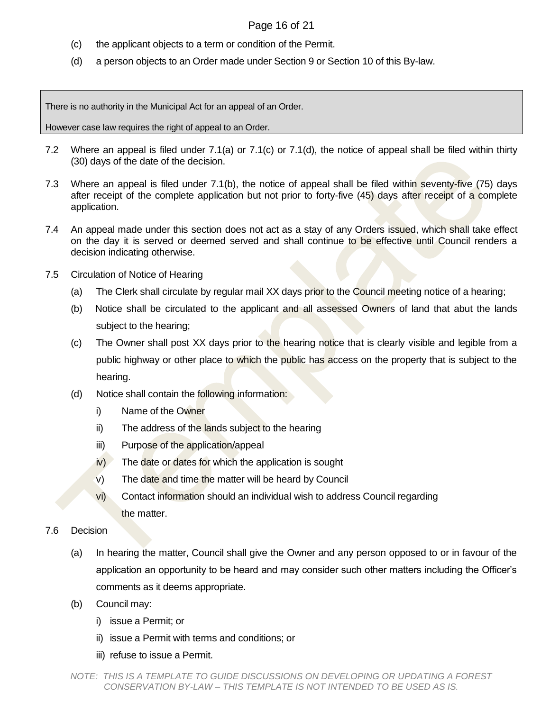### Page 16 of 21

- (c) the applicant objects to a term or condition of the Permit.
- (d) a person objects to an Order made under Section 9 or Section 10 of this By-law.

There is no authority in the Municipal Act for an appeal of an Order.

However case law requires the right of appeal to an Order.

- 7.2 Where an appeal is filed under 7.1(a) or 7.1(c) or 7.1(d), the notice of appeal shall be filed within thirty (30) days of the date of the decision.
- 7.3 Where an appeal is filed under 7.1(b), the notice of appeal shall be filed within seventy-five (75) days after receipt of the complete application but not prior to forty-five (45) days after receipt of a complete application.
- 7.4 An appeal made under this section does not act as a stay of any Orders issued, which shall take effect on the day it is served or deemed served and shall continue to be effective until Council renders a decision indicating otherwise.
- 7.5 Circulation of Notice of Hearing
	- (a) The Clerk shall circulate by regular mail XX days prior to the Council meeting notice of a hearing;
	- (b) Notice shall be circulated to the applicant and all assessed Owners of land that abut the lands subject to the hearing;
	- (c) The Owner shall post XX days prior to the hearing notice that is clearly visible and legible from a public highway or other place to which the public has access on the property that is subject to the hearing.
	- (d) Notice shall contain the following information:
		- i) Name of the Owner
		- ii) The address of the lands subject to the hearing
		- iii) Purpose of the application/appeal
		- $iv)$  The date or dates for which the application is sought
		- $\mathbf{v}$ ) The date and time the matter will be heard by Council
		- vi) Contact information should an individual wish to address Council regarding the matter.
- 7.6 Decision
	- (a) In hearing the matter, Council shall give the Owner and any person opposed to or in favour of the application an opportunity to be heard and may consider such other matters including the Officer's comments as it deems appropriate.
	- (b) Council may:
		- i) issue a Permit; or
		- ii) issue a Permit with terms and conditions; or
		- iii) refuse to issue a Permit.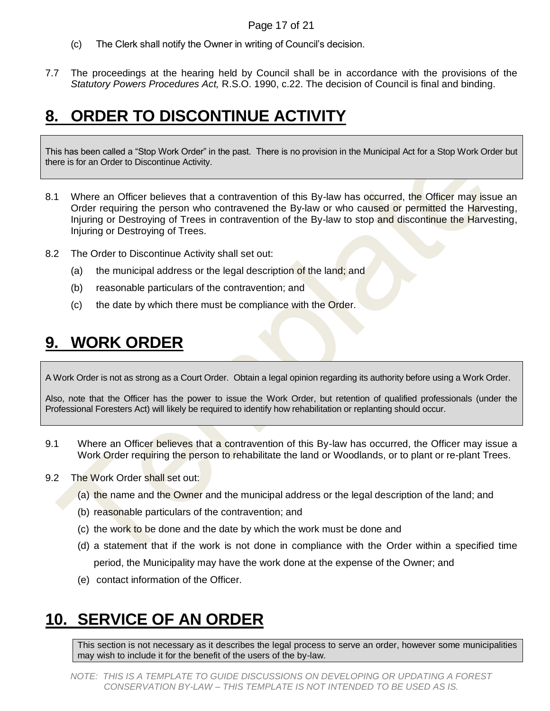### Page 17 of 21

- (c) The Clerk shall notify the Owner in writing of Council's decision.
- 7.7 The proceedings at the hearing held by Council shall be in accordance with the provisions of the *Statutory Powers Procedures Act,* R.S.O. 1990, c.22. The decision of Council is final and binding.

# <span id="page-16-0"></span>**8. ORDER TO DISCONTINUE ACTIVITY**

This has been called a "Stop Work Order" in the past. There is no provision in the Municipal Act for a Stop Work Order but there is for an Order to Discontinue Activity.

- 8.1 Where an Officer believes that a contravention of this By-law has occurred, the Officer may issue an Order requiring the person who contravened the By-law or who caused or permitted the Harvesting, Injuring or Destroying of Trees in contravention of the By-law to stop and discontinue the Harvesting, Injuring or Destroying of Trees.
- 8.2 The Order to Discontinue Activity shall set out:
	- (a) the municipal address or the legal description of the land; and
	- (b) reasonable particulars of the contravention; and
	- (c) the date by which there must be compliance with the Order.

## <span id="page-16-1"></span>**9. WORK ORDER**

A Work Order is not as strong as a Court Order. Obtain a legal opinion regarding its authority before using a Work Order.

Also, note that the Officer has the power to issue the Work Order, but retention of qualified professionals (under the Professional Foresters Act) will likely be required to identify how rehabilitation or replanting should occur.

- 9.1 Where an Officer believes that a contravention of this By-law has occurred, the Officer may issue a Work Order requiring the person to rehabilitate the land or Woodlands, or to plant or re-plant Trees.
- 9.2 The Work Order shall set out:
	- (a) the name and the Owner and the municipal address or the legal description of the land; and
	- (b) reasonable particulars of the contravention; and
	- (c) the work to be done and the date by which the work must be done and
	- (d) a statement that if the work is not done in compliance with the Order within a specified time period, the Municipality may have the work done at the expense of the Owner; and
	- (e) contact information of the Officer.

# <span id="page-16-2"></span>**10. SERVICE OF AN ORDER**

This section is not necessary as it describes the legal process to serve an order, however some municipalities may wish to include it for the benefit of the users of the by-law.

*NOTE: THIS IS A TEMPLATE TO GUIDE DISCUSSIONS ON DEVELOPING OR UPDATING A FOREST CONSERVATION BY-LAW – THIS TEMPLATE IS NOT INTENDED TO BE USED AS IS.*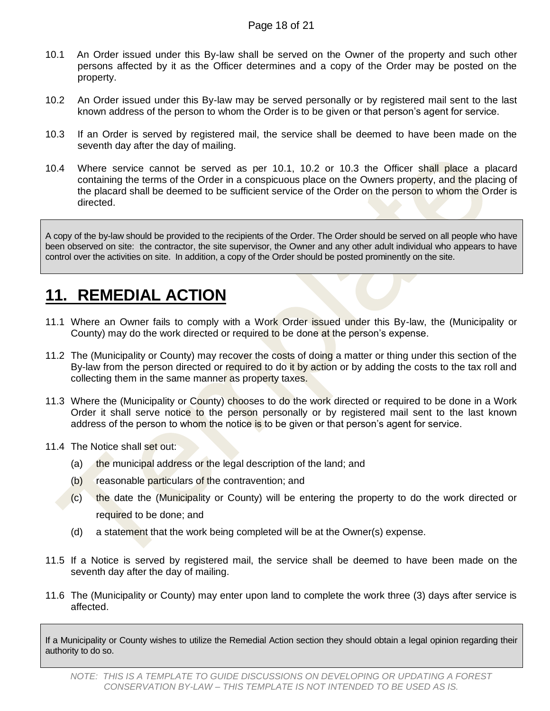- 10.1 An Order issued under this By-law shall be served on the Owner of the property and such other persons affected by it as the Officer determines and a copy of the Order may be posted on the property.
- 10.2 An Order issued under this By-law may be served personally or by registered mail sent to the last known address of the person to whom the Order is to be given or that person's agent for service.
- 10.3 If an Order is served by registered mail, the service shall be deemed to have been made on the seventh day after the day of mailing.
- 10.4 Where service cannot be served as per 10.1, 10.2 or 10.3 the Officer shall place a placard containing the terms of the Order in a conspicuous place on the Owners property, and the placing of the placard shall be deemed to be sufficient service of the Order on the person to whom the Order is directed.

A copy of the by-law should be provided to the recipients of the Order. The Order should be served on all people who have been observed on site: the contractor, the site supervisor, the Owner and any other adult individual who appears to have control over the activities on site. In addition, a copy of the Order should be posted prominently on the site.

### <span id="page-17-0"></span>**11. REMEDIAL ACTION**

- 11.1 Where an Owner fails to comply with a Work Order issued under this By-law, the (Municipality or County) may do the work directed or required to be done at the person's expense.
- 11.2 The (Municipality or County) may recover the costs of doing a matter or thing under this section of the By-law from the person directed or required to do it by action or by adding the costs to the tax roll and collecting them in the same manner as property taxes.
- 11.3 Where the (Municipality or County) chooses to do the work directed or required to be done in a Work Order it shall serve notice to the person personally or by registered mail sent to the last known address of the person to whom the notice is to be given or that person's agent for service.
- 11.4 The Notice shall set out:
	- (a) the municipal address or the legal description of the land; and
	- (b) reasonable particulars of the contravention; and
	- (c) the date the (Municipality or County) will be entering the property to do the work directed or required to be done; and
	- (d) a statement that the work being completed will be at the Owner(s) expense.
- 11.5 If a Notice is served by registered mail, the service shall be deemed to have been made on the seventh day after the day of mailing.
- 11.6 The (Municipality or County) may enter upon land to complete the work three (3) days after service is affected.

If a Municipality or County wishes to utilize the Remedial Action section they should obtain a legal opinion regarding their authority to do so.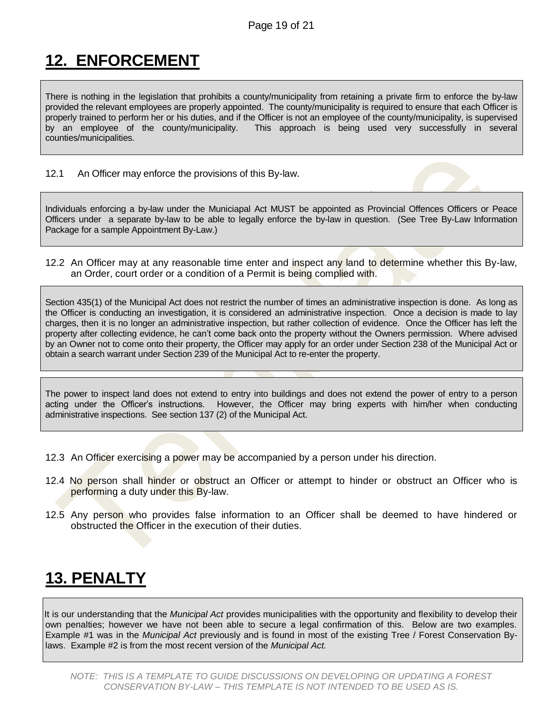# <span id="page-18-0"></span>**12. ENFORCEMENT**

There is nothing in the legislation that prohibits a county/municipality from retaining a private firm to enforce the by-law provided the relevant employees are properly appointed. The county/municipality is required to ensure that each Officer is properly trained to perform her or his duties, and if the Officer is not an employee of the county/municipality, is supervised by an employee of the county/municipality. This approach is being used very successfully in several counties/municipalities.

12.1 An Officer may enforce the provisions of this By-law.

Individuals enforcing a by-law under the Municiapal Act MUST be appointed as Provincial Offences Officers or Peace Officers under a separate by-law to be able to legally enforce the by-law in question. (See Tree By-Law Information Package for a sample Appointment By-Law.)

12.2 An Officer may at any reasonable time enter and inspect any land to determine whether this By-law, an Order, court order or a condition of a Permit is being complied with.

Section 435(1) of the Municipal Act does not restrict the number of times an administrative inspection is done. As long as the Officer is conducting an investigation, it is considered an administrative inspection. Once a decision is made to lay charges, then it is no longer an administrative inspection, but rather collection of evidence. Once the Officer has left the property after collecting evidence, he can't come back onto the property without the Owners permission. Where advised by an Owner not to come onto their property, the Officer may apply for an order under Section 238 of the Municipal Act or obtain a search warrant under Section 239 of the Municipal Act to re-enter the property.

The power to inspect land does not extend to entry into buildings and does not extend the power of entry to a person acting under the Officer's instructions. However, the Officer may bring experts with him/her when conducting administrative inspections. See section 137 (2) of the Municipal Act.

- 12.3 An Officer exercising a power may be accompanied by a person under his direction.
- 12.4 No person shall hinder or obstruct an Officer or attempt to hinder or obstruct an Officer who is performing a duty under this By-law.
- 12.5 Any person who provides false information to an Officer shall be deemed to have hindered or obstructed the Officer in the execution of their duties.

# <span id="page-18-1"></span>**13. PENALTY**

It is our understanding that the *Municipal Act* provides municipalities with the opportunity and flexibility to develop their own penalties; however we have not been able to secure a legal confirmation of this. Below are two examples. Example #1 was in the *Municipal Act* previously and is found in most of the existing Tree / Forest Conservation Bylaws. Example #2 is from the most recent version of the *Municipal Act.*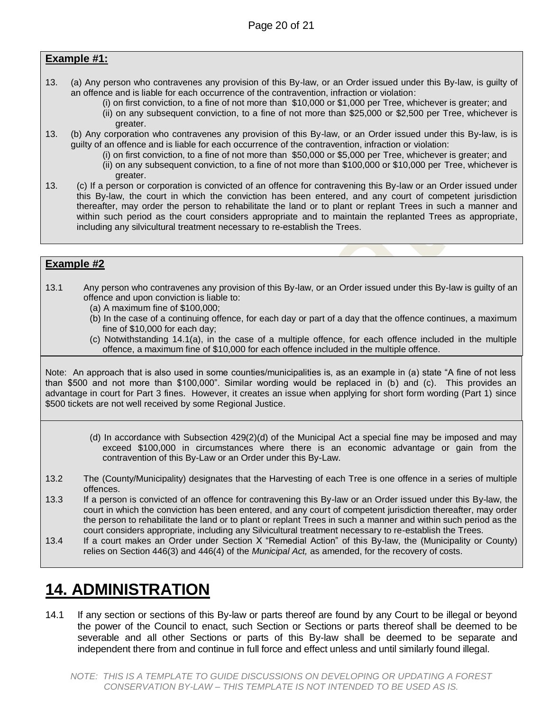### **Example #1:**

- 13. (a) Any person who contravenes any provision of this By-law, or an Order issued under this By-law, is guilty of an offence and is liable for each occurrence of the contravention, infraction or violation:
	- (i) on first conviction, to a fine of not more than \$10,000 or \$1,000 per Tree, whichever is greater; and (ii) on any subsequent conviction, to a fine of not more than \$25,000 or \$2,500 per Tree, whichever is greater.
- 13. (b) Any corporation who contravenes any provision of this By-law, or an Order issued under this By-law, is is guilty of an offence and is liable for each occurrence of the contravention, infraction or violation:
	- (i) on first conviction, to a fine of not more than \$50,000 or \$5,000 per Tree, whichever is greater; and
	- (ii) on any subsequent conviction, to a fine of not more than \$100,000 or \$10,000 per Tree, whichever is greater.
- 13. (c) If a person or corporation is convicted of an offence for contravening this By-law or an Order issued under this By-law, the court in which the conviction has been entered, and any court of competent jurisdiction thereafter, may order the person to rehabilitate the land or to plant or replant Trees in such a manner and within such period as the court considers appropriate and to maintain the replanted Trees as appropriate, including any silvicultural treatment necessary to re-establish the Trees.

### **Example #2**

- 13.1 Any person who contravenes any provision of this By-law, or an Order issued under this By-law is guilty of an offence and upon conviction is liable to:
	- (a) A maximum fine of \$100,000;
	- (b) In the case of a continuing offence, for each day or part of a day that the offence continues, a maximum fine of \$10,000 for each day;
	- (c) Notwithstanding 14.1(a), in the case of a multiple offence, for each offence included in the multiple offence, a maximum fine of \$10,000 for each offence included in the multiple offence.

Note: An approach that is also used in some counties/municipalities is, as an example in (a) state "A fine of not less than \$500 and not more than \$100,000". Similar wording would be replaced in (b) and (c). This provides an advantage in court for Part 3 fines. However, it creates an issue when applying for short form wording (Part 1) since \$500 tickets are not well received by some Regional Justice.

- (d) In accordance with Subsection 429(2)(d) of the Municipal Act a special fine may be imposed and may exceed \$100,000 in circumstances where there is an economic advantage or gain from the contravention of this By-Law or an Order under this By-Law.
- 13.2 The (County/Municipality) designates that the Harvesting of each Tree is one offence in a series of multiple offences.
- 13.3 If a person is convicted of an offence for contravening this By-law or an Order issued under this By-law, the court in which the conviction has been entered, and any court of competent jurisdiction thereafter, may order the person to rehabilitate the land or to plant or replant Trees in such a manner and within such period as the court considers appropriate, including any Silvicultural treatment necessary to re-establish the Trees.
- 13.4 If a court makes an Order under Section X "Remedial Action" of this By-law, the (Municipality or County) relies on Section 446(3) and 446(4) of the *Municipal Act,* as amended, for the recovery of costs.

## <span id="page-19-0"></span>**14. ADMINISTRATION**

14.1 If any section or sections of this By-law or parts thereof are found by any Court to be illegal or beyond the power of the Council to enact, such Section or Sections or parts thereof shall be deemed to be severable and all other Sections or parts of this By-law shall be deemed to be separate and independent there from and continue in full force and effect unless and until similarly found illegal.

*NOTE: THIS IS A TEMPLATE TO GUIDE DISCUSSIONS ON DEVELOPING OR UPDATING A FOREST CONSERVATION BY-LAW – THIS TEMPLATE IS NOT INTENDED TO BE USED AS IS.*